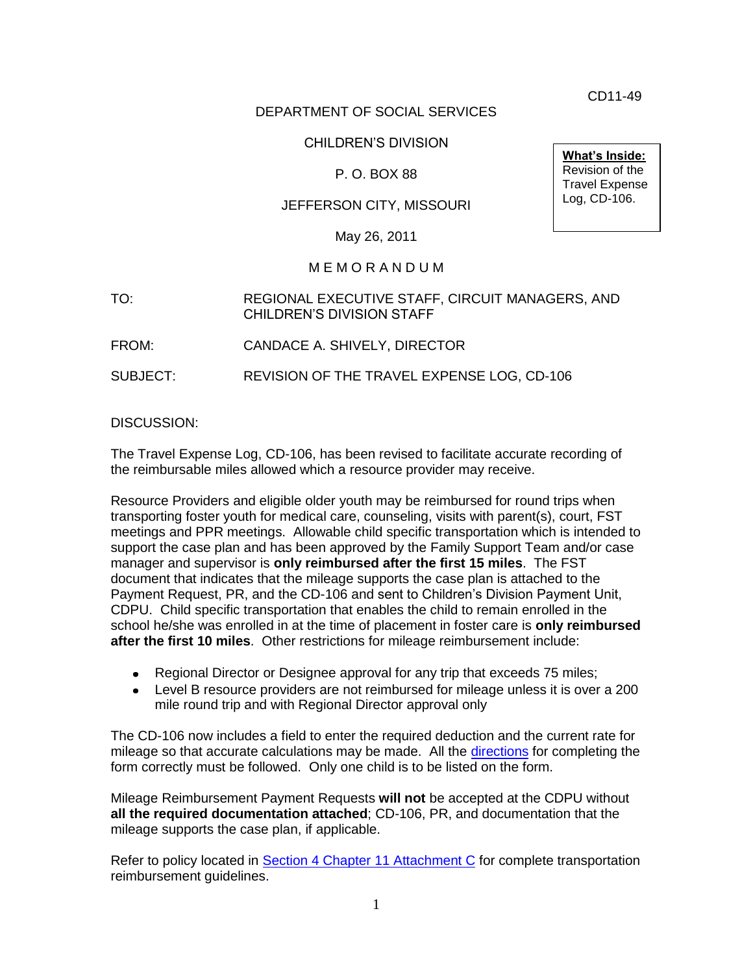CD11-49

# DEPARTMENT OF SOCIAL SERVICES

# CHILDREN'S DIVISION

# P. O. BOX 88

# JEFFERSON CITY, MISSOURI

May 26, 2011

#### M E M O R A N D U M

- TO: REGIONAL EXECUTIVE STAFF, CIRCUIT MANAGERS, AND CHILDREN'S DIVISION STAFF
- FROM: CANDACE A. SHIVELY, DIRECTOR

SUBJECT: REVISION OF THE TRAVEL EXPENSE LOG, CD-106

#### DISCUSSION:

The Travel Expense Log, CD-106, has been revised to facilitate accurate recording of the reimbursable miles allowed which a resource provider may receive.

Resource Providers and eligible older youth may be reimbursed for round trips when transporting foster youth for medical care, counseling, visits with parent(s), court, FST meetings and PPR meetings. Allowable child specific transportation which is intended to support the case plan and has been approved by the Family Support Team and/or case manager and supervisor is **only reimbursed after the first 15 miles**. The FST document that indicates that the mileage supports the case plan is attached to the Payment Request, PR, and the CD-106 and sent to Children's Division Payment Unit, CDPU. Child specific transportation that enables the child to remain enrolled in the school he/she was enrolled in at the time of placement in foster care is **only reimbursed after the first 10 miles**. Other restrictions for mileage reimbursement include:

- Regional Director or Designee approval for any trip that exceeds 75 miles;
- Level B resource providers are not reimbursed for mileage unless it is over a 200 mile round trip and with Regional Director approval only

The CD-106 now includes a field to enter the required deduction and the current rate for mileage so that accurate calculations may be made. All the [directions](http://dss.mo.gov/cd/info/forms/forminstructions/cd106_instr.pdf) for completing the form correctly must be followed. Only one child is to be listed on the form.

Mileage Reimbursement Payment Requests **will not** be accepted at the CDPU without **all the required documentation attached**; CD-106, PR, and documentation that the mileage supports the case plan, if applicable.

Refer to policy located in [Section 4 Chapter 11 Attachment C](http://dss.mo.gov/cd/info/cwmanual/section4/ch11/sec4ch11attachc.htm) for complete transportation reimbursement guidelines.

**What's Inside:** Revision of the Travel Expense Log, CD-106.